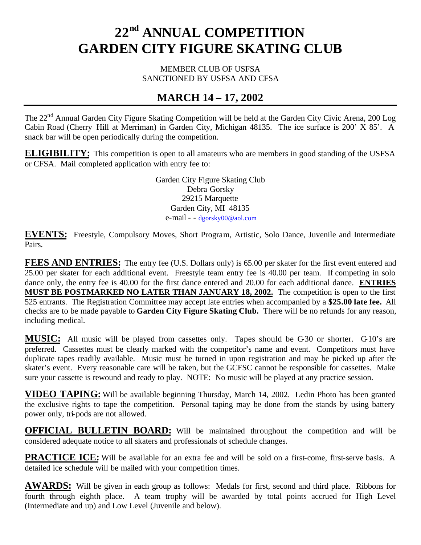# **22nd ANNUAL COMPETITION GARDEN CITY FIGURE SKATING CLUB**

MEMBER CLUB OF USFSA SANCTIONED BY USFSA AND CFSA

# **MARCH 14 – 17, 2002**

The 22<sup>nd</sup> Annual Garden City Figure Skating Competition will be held at the Garden City Civic Arena, 200 Log Cabin Road (Cherry Hill at Merriman) in Garden City, Michigan 48135. The ice surface is 200' X 85'. A snack bar will be open periodically during the competition.

**ELIGIBILITY:** This competition is open to all amateurs who are members in good standing of the USFSA or CFSA. Mail completed application with entry fee to:

> Garden City Figure Skating Club Debra Gorsky 29215 Marquette Garden City, MI 48135 e-mail - - dgorsky00@aol.com

**EVENTS:** Freestyle, Compulsory Moves, Short Program, Artistic, Solo Dance, Juvenile and Intermediate Pairs.

**FEES AND ENTRIES:** The entry fee (U.S. Dollars only) is 65.00 per skater for the first event entered and 25.00 per skater for each additional event. Freestyle team entry fee is 40.00 per team. If competing in solo dance only, the entry fee is 40.00 for the first dance entered and 20.00 for each additional dance. **ENTRIES MUST BE POSTMARKED NO LATER THAN JANUARY 18, 2002.** The competition is open to the first 525 entrants. The Registration Committee may accept late entries when accompanied by a **\$25.00 late fee.** All checks are to be made payable to **Garden City Figure Skating Club.** There will be no refunds for any reason, including medical.

**MUSIC:** All music will be played from cassettes only. Tapes should be C-30 or shorter. C-10's are preferred. Cassettes must be clearly marked with the competitor's name and event. Competitors must have duplicate tapes readily available. Music must be turned in upon registration and may be picked up after the skater's event. Every reasonable care will be taken, but the GCFSC cannot be responsible for cassettes. Make sure your cassette is rewound and ready to play. NOTE: No music will be played at any practice session.

**VIDEO TAPING:** Will be available beginning Thursday, March 14, 2002. Ledin Photo has been granted the exclusive rights to tape the competition. Personal taping may be done from the stands by using battery power only, tri-pods are not allowed.

**OFFICIAL BULLETIN BOARD:** Will be maintained throughout the competition and will be considered adequate notice to all skaters and professionals of schedule changes.

**PRACTICE ICE:** Will be available for an extra fee and will be sold on a first-come, first-serve basis. A detailed ice schedule will be mailed with your competition times.

**AWARDS:** Will be given in each group as follows: Medals for first, second and third place. Ribbons for fourth through eighth place. A team trophy will be awarded by total points accrued for High Level (Intermediate and up) and Low Level (Juvenile and below).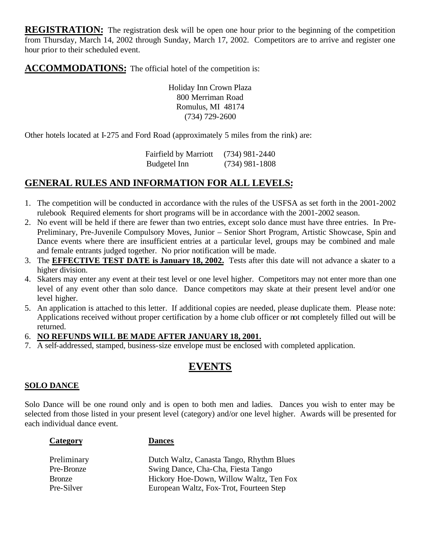**REGISTRATION:** The registration desk will be open one hour prior to the beginning of the competition from Thursday, March 14, 2002 through Sunday, March 17, 2002. Competitors are to arrive and register one hour prior to their scheduled event.

**ACCOMMODATIONS:** The official hotel of the competition is:

Holiday Inn Crown Plaza 800 Merriman Road Romulus, MI 48174 (734) 729-2600

Other hotels located at I-275 and Ford Road (approximately 5 miles from the rink) are:

Fairfield by Marriott (734) 981-2440 Budgetel Inn (734) 981-1808

# **GENERAL RULES AND INFORMATION FOR ALL LEVELS:**

- 1. The competition will be conducted in accordance with the rules of the USFSA as set forth in the 2001-2002 rulebook Required elements for short programs will be in accordance with the 2001-2002 season.
- 2. No event will be held if there are fewer than two entries, except solo dance must have three entries. In Pre-Preliminary, Pre-Juvenile Compulsory Moves, Junior – Senior Short Program, Artistic Showcase, Spin and Dance events where there are insufficient entries at a particular level, groups may be combined and male and female entrants judged together. No prior notification will be made.
- 3. The **EFFECTIVE TEST DATE is January 18, 2002.** Tests after this date will not advance a skater to a higher division.
- 4. Skaters may enter any event at their test level or one level higher. Competitors may not enter more than one level of any event other than solo dance. Dance competitors may skate at their present level and/or one level higher.
- 5. An application is attached to this letter. If additional copies are needed, please duplicate them. Please note: Applications received without proper certification by a home club officer or not completely filled out will be returned.

# 6. **NO REFUNDS WILL BE MADE AFTER JANUARY 18, 2001.**

7. A self-addressed, stamped, business-size envelope must be enclosed with completed application.

# **EVENTS**

# **SOLO DANCE**

Solo Dance will be one round only and is open to both men and ladies. Dances you wish to enter may be selected from those listed in your present level (category) and/or one level higher. Awards will be presented for each individual dance event.

| `ategor |  |
|---------|--|
|         |  |

### **Dances**

| Preliminary | Dutch Waltz, Canasta Tango, Rhythm Blues |
|-------------|------------------------------------------|
| Pre-Bronze  | Swing Dance, Cha-Cha, Fiesta Tango       |
| Bronze      | Hickory Hoe-Down, Willow Waltz, Ten Fox  |
| Pre-Silver  | European Waltz, Fox-Trot, Fourteen Step  |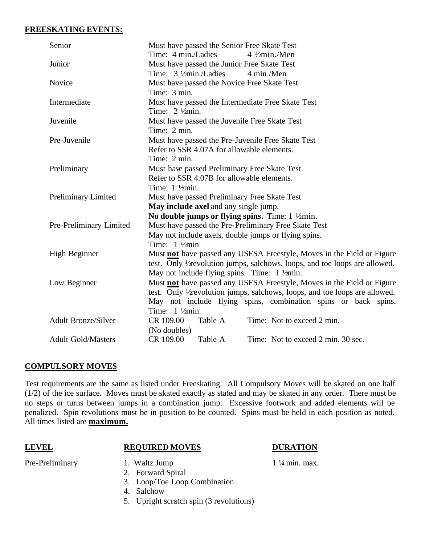### **FREESKATING EVENTS:**

| Senior                     | Must have passed the Senior Free Skate Test                                 |  |  |
|----------------------------|-----------------------------------------------------------------------------|--|--|
|                            | Time: 4 min./Ladies<br>$4 \frac{1}{2}$ min./Men                             |  |  |
| Junior                     | Must have passed the Junior Free Skate Test                                 |  |  |
|                            | Time: 3 1/ <sub>2</sub> min./Ladies<br>4 min./Men                           |  |  |
| Novice                     | Must have passed the Novice Free Skate Test                                 |  |  |
|                            | Time: 3 min.                                                                |  |  |
| Intermediate               | Must have passed the Intermediate Free Skate Test                           |  |  |
|                            | Time: $2 \frac{1}{2}$ $\gamma$ min.                                         |  |  |
| Juvenile                   | Must have passed the Juvenile Free Skate Test                               |  |  |
|                            | Time: 2 min.                                                                |  |  |
| Pre-Juvenile               | Must have passed the Pre-Juvenile Free Skate Test                           |  |  |
|                            | Refer to SSR 4.07A for allowable elements.                                  |  |  |
|                            | Time: 2 min.                                                                |  |  |
| Preliminary                | Must have passed Preliminary Free Skate Test                                |  |  |
|                            | Refer to SSR 4.07B for allowable elements.                                  |  |  |
|                            | Time: $1 \frac{1}{2}$ min.                                                  |  |  |
| <b>Preliminary Limited</b> | Must have passed Preliminary Free Skate Test                                |  |  |
|                            | May include axel and any single jump.                                       |  |  |
|                            | No double jumps or flying spins. Time: $1 \frac{1}{2}$ min.                 |  |  |
| Pre-Preliminary Limited    | Must have passed the Pre-Preliminary Free Skate Test                        |  |  |
|                            | May not include axels, double jumps or flying spins.                        |  |  |
|                            | Time: $1 \frac{1}{2}$ min                                                   |  |  |
| High Beginner              | Must not have passed any USFSA Freestyle, Moves in the Field or Figure      |  |  |
|                            | test. Only V revolution jumps, salchows, loops, and toe loops are allowed.  |  |  |
|                            | May not include flying spins. Time: $1\frac{1}{2}$ min.                     |  |  |
| Low Beginner               | Must not have passed any USFSA Freestyle, Moves in the Field or Figure      |  |  |
|                            | test. Only 1/x evolution jumps, salchows, loops, and toe loops are allowed. |  |  |
|                            | May not include flying spins, combination spins or back spins.              |  |  |
|                            | Time: $1\frac{1}{2}$ min.                                                   |  |  |
| <b>Adult Bronze/Silver</b> | CR 109.00<br>Table A<br>Time: Not to exceed 2 min.                          |  |  |
|                            | (No doubles)                                                                |  |  |
| <b>Adult Gold/Masters</b>  | CR 109.00<br>Table A<br>Time: Not to exceed 2 min. 30 sec.                  |  |  |

# **COMPULSORY MOVES**

Test requirements are the same as listed under Freeskating. All Compulsory Moves will be skated on one half (1/2) of the ice surface. Moves must be skated exactly as stated and may be skated in any order. There must be no steps or turns between jumps in a combination jump. Excessive footwork and added elements will be penalized. Spin revolutions must be in position to be counted. Spins must be held in each position as noted. All times listed are **maximum.**

# **LEVEL REQUIRED MOVES DURATION**

- Pre-Preliminary 1. Waltz Jump 1 ¼ min. max.
	- 2. Forward Spiral
	- 3. Loop/Toe Loop Combination
	- 4. Salchow
	- 5. Upright scratch spin (3 revolutions)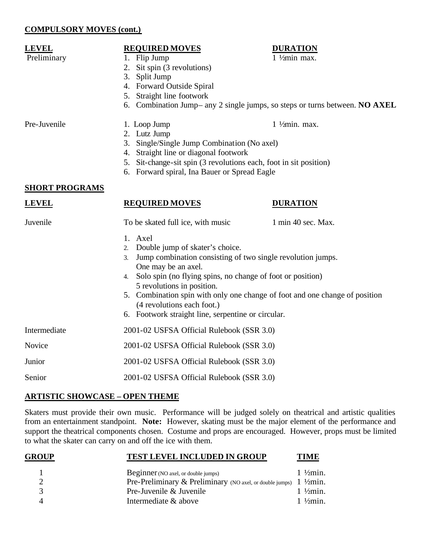### **COMPULSORY MOVES (cont.)**

### **LEVEL REQUIRED MOVES DURATION**

- Preliminary 1. Flip Jump 1 ½ min max.
	- 2. Sit spin (3 revolutions)
	- 3. Split Jump
	- 4. Forward Outside Spiral
	- 5. Straight line footwork
	- 6. Combination Jump– any 2 single jumps, so steps or turns between. **NO AXEL**

- 
- Pre-Juvenile 1. Loop Jump 1 ½ min. max.
	- 2. Lutz Jump
	- 3. Single/Single Jump Combination (No axel)
	- 4. Straight line or diagonal footwork
	- 5. Sit-change-sit spin (3 revolutions each, foot in sit position)
	- 6. Forward spiral, Ina Bauer or Spread Eagle

### **SHORT PROGRAMS**

### **LEVEL REQUIRED MOVES DURATION**

| Juvenile     | To be skated full ice, with music                                 | 1 min 40 sec. Max.                                                          |
|--------------|-------------------------------------------------------------------|-----------------------------------------------------------------------------|
|              | 1. Axel                                                           |                                                                             |
|              | 2. Double jump of skater's choice.                                |                                                                             |
|              | Jump combination consisting of two single revolution jumps.<br>3. |                                                                             |
|              | One may be an axel.                                               |                                                                             |
|              | 4. Solo spin (no flying spins, no change of foot or position)     |                                                                             |
|              | 5 revolutions in position.                                        |                                                                             |
|              |                                                                   | 5. Combination spin with only one change of foot and one change of position |
|              | (4 revolutions each foot.)                                        |                                                                             |
|              | 6. Footwork straight line, serpentine or circular.                |                                                                             |
| Intermediate | 2001-02 USFSA Official Rulebook (SSR 3.0)                         |                                                                             |
| Novice       | 2001-02 USFSA Official Rulebook (SSR 3.0)                         |                                                                             |
| Junior       | 2001-02 USFSA Official Rulebook (SSR 3.0)                         |                                                                             |
| Senior       | 2001-02 USFSA Official Rulebook (SSR 3.0)                         |                                                                             |

# **ARTISTIC SHOWCASE – OPEN THEME**

Skaters must provide their own music. Performance will be judged solely on theatrical and artistic qualities from an entertainment standpoint. **Note:** However, skating must be the major element of the performance and support the theatrical components chosen. Costume and props are encouraged. However, props must be limited to what the skater can carry on and off the ice with them.

| <b>GROUP</b> | <b>TEST LEVEL INCLUDED IN GROUP</b>                                          | <b>TIME</b>          |
|--------------|------------------------------------------------------------------------------|----------------------|
|              | <b>Beginner</b> (NO axel, or double jumps)                                   | $1\frac{1}{2}$ min.  |
|              | Pre-Preliminary & Preliminary (NO axel, or double jumps) $1\frac{1}{2}$ min. |                      |
|              | Pre-Juvenile & Juvenile                                                      | $1 \frac{1}{2}$ min. |
|              | Intermediate & above                                                         | $1\frac{1}{2}$ min.  |
|              |                                                                              |                      |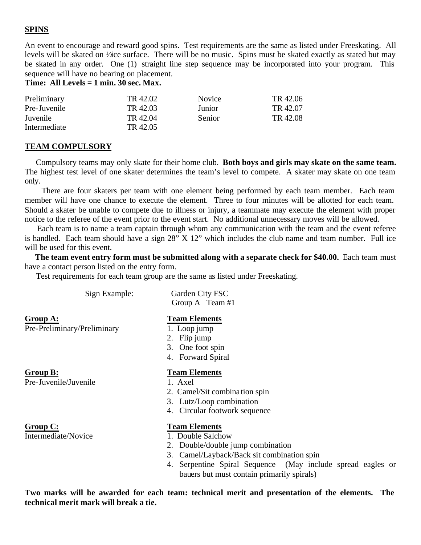# **SPINS**

An event to encourage and reward good spins. Test requirements are the same as listed under Freeskating. All levels will be skated on ½ ice surface. There will be no music. Spins must be skated exactly as stated but may be skated in any order. One (1) straight line step sequence may be incorporated into your program. This sequence will have no bearing on placement.

**Time: All Levels = 1 min. 30 sec. Max.**

| Preliminary  | TR 42.02 | <b>Novice</b> | TR 42.06 |
|--------------|----------|---------------|----------|
| Pre-Juvenile | TR 42.03 | Junior        | TR 42.07 |
| Juvenile     | TR 42.04 | Senior        | TR 42.08 |
| Intermediate | TR 42.05 |               |          |

### **TEAM COMPULSORY**

 Compulsory teams may only skate for their home club. **Both boys and girls may skate on the same team.** The highest test level of one skater determines the team's level to compete. A skater may skate on one team only.

 There are four skaters per team with one element being performed by each team member. Each team member will have one chance to execute the element. Three to four minutes will be allotted for each team. Should a skater be unable to compete due to illness or injury, a teammate may execute the element with proper notice to the referee of the event prior to the event start. No additional unnecessary moves will be allowed.

 Each team is to name a team captain through whom any communication with the team and the event referee is handled. Each team should have a sign 28" X 12" which includes the club name and team number. Full ice will be used for this event.

 **The team event entry form must be submitted along with a separate check for \$40.00.** Each team must have a contact person listed on the entry form.

Test requirements for each team group are the same as listed under Freeskating.

| Group A: | <b>Team Elements</b> |
|----------|----------------------|
|          | Group A Team         |

Pre-Preliminary/Preliminary 1. Loop jump

Pre-Juvenile/Juvenile 1. Axel

**Group C: Team Elements**

 Sign Example: Garden City FSC Group A Team #1

- 
- 2. Flip jump
- 3. One foot spin
- 4. Forward Spiral

### **Group B: Team Elements**

- 
- 2. Camel/Sit combina tion spin
- 3. Lutz/Loop combination
- 4. Circular footwork sequence

- Intermediate/Novice 1. Double Salchow
	- 2. Double/double jump combination
	- 3. Camel/Layback/Back sit combination spin
	- 4. Serpentine Spiral Sequence (May include spread eagles or bauers but must contain primarily spirals)

**Two marks will be awarded for each team: technical merit and presentation of the elements. The technical merit mark will break a tie.**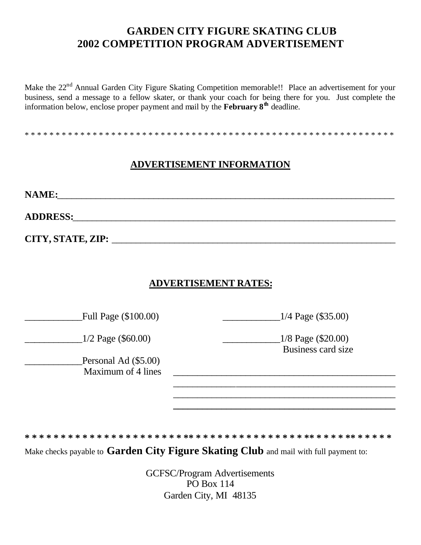# **GARDEN CITY FIGURE SKATING CLUB 2002 COMPETITION PROGRAM ADVERTISEMENT**

Make the 22<sup>nd</sup> Annual Garden City Figure Skating Competition memorable!! Place an advertisement for your business, send a message to a fellow skater, or thank your coach for being there for you. Just complete the information below, enclose proper payment and mail by the **February 8th** deadline.

\* \* \* \* \* \* \* \* \* \* \* \* \* \* \* \* \* \* \* \* \* \* \* \* \* \* \* \* \* \* \* \* \* \* \* \* \* \* \* \* \* \* \* \* \* \* \* \* \* \* \* \* \* \* \* \* \* \* \* \*

# **ADVERTISEMENT INFORMATION**

**NAME:**\_\_\_\_\_\_\_\_\_\_\_\_\_\_\_\_\_\_\_\_\_\_\_\_\_\_\_\_\_\_\_\_\_\_\_\_\_\_\_\_\_\_\_\_\_\_\_\_\_\_\_\_\_\_\_\_\_\_\_\_\_\_\_\_\_\_\_\_\_\_

**ADDRESS:**\_\_\_\_\_\_\_\_\_\_\_\_\_\_\_\_\_\_\_\_\_\_\_\_\_\_\_\_\_\_\_\_\_\_\_\_\_\_\_\_\_\_\_\_\_\_\_\_\_\_\_\_\_\_\_\_\_\_\_\_\_\_\_\_\_\_\_

**CITY, STATE, ZIP:** \_\_\_\_\_\_\_\_\_\_\_\_\_\_\_\_\_\_\_\_\_\_\_\_\_\_\_\_\_\_\_\_\_\_\_\_\_\_\_\_\_\_\_\_\_\_\_\_\_\_\_\_\_\_\_\_\_\_\_

# **ADVERTISEMENT RATES:**

Full Page (\$100.00) Full Page (\$100.00)

\_\_\_\_\_\_\_\_\_\_\_\_1/2 Page (\$60.00) \_\_\_\_\_\_\_\_\_\_\_\_1/8 Page (\$20.00)

Personal Ad (\$5.00) Maximum of 4 lines

Business card size

 $\_$  , and the set of the set of the set of the set of the set of the set of the set of the set of the set of the set of the set of the set of the set of the set of the set of the set of the set of the set of the set of th \_\_\_\_\_\_\_\_\_\_\_\_\_\_\_\_\_\_\_\_\_\_\_\_\_\_\_\_\_\_\_\_\_\_\_\_\_\_\_\_\_\_\_\_\_\_ **\_\_\_\_\_\_\_\_\_\_\_\_\_\_\_\_\_\_\_\_\_\_\_\_\_\_\_\_\_\_\_\_\_\_\_\_\_\_\_\_\_\_\_\_\_\_**

**\* \* \* \* \* \* \* \* \* \* \* \* \* \* \* \* \* \* \* \* \* \* \*\* \* \* \* \* \* \* \* \* \* \* \* \* \* \* \* \*\* \* \* \* \* \*\* \* \* \* \* \*** 

Make checks payable to **Garden City Figure Skating Club** and mail with full payment to:

GCFSC/Program Advertisements PO Box 114 Garden City, MI 48135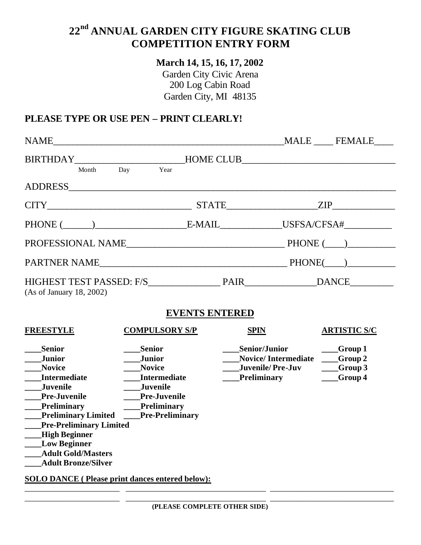# **22nd ANNUAL GARDEN CITY FIGURE SKATING CLUB COMPETITION ENTRY FORM**

# **March 14, 15, 16, 17, 2002**

Garden City Civic Arena 200 Log Cabin Road Garden City, MI 48135

# **PLEASE TYPE OR USE PEN – PRINT CLEARLY!**

| BIRTHDAY Month Day Year HOME CLUB                                                                                                                                                                                                                                                                                    |                                                                                                                       |                       |                                                                                                                   |                                                                  |
|----------------------------------------------------------------------------------------------------------------------------------------------------------------------------------------------------------------------------------------------------------------------------------------------------------------------|-----------------------------------------------------------------------------------------------------------------------|-----------------------|-------------------------------------------------------------------------------------------------------------------|------------------------------------------------------------------|
|                                                                                                                                                                                                                                                                                                                      |                                                                                                                       |                       |                                                                                                                   |                                                                  |
| $CITY$ $ZIP$                                                                                                                                                                                                                                                                                                         |                                                                                                                       |                       |                                                                                                                   |                                                                  |
|                                                                                                                                                                                                                                                                                                                      |                                                                                                                       |                       |                                                                                                                   |                                                                  |
|                                                                                                                                                                                                                                                                                                                      |                                                                                                                       |                       |                                                                                                                   |                                                                  |
|                                                                                                                                                                                                                                                                                                                      |                                                                                                                       |                       |                                                                                                                   |                                                                  |
| (As of January 18, 2002)                                                                                                                                                                                                                                                                                             |                                                                                                                       |                       |                                                                                                                   |                                                                  |
|                                                                                                                                                                                                                                                                                                                      |                                                                                                                       | <b>EVENTS ENTERED</b> |                                                                                                                   |                                                                  |
| <b>FREESTYLE</b>                                                                                                                                                                                                                                                                                                     | <b>COMPULSORY S/P</b>                                                                                                 |                       | <b>SPIN</b>                                                                                                       | <b>ARTISTIC S/C</b>                                              |
| <b>Senior</b><br><b>Junior</b><br><b>Novice</b><br><b>Intermediate</b><br><b>Juvenile</b><br><b>Pre-Juvenile</b><br><b>Preliminary</b><br>Preliminary Limited Pre-Preliminary<br><b>Pre-Preliminary Limited</b><br>__High Beginner<br><b>Low Beginner</b><br><b>Adult Gold/Masters</b><br><b>Adult Bronze/Silver</b> | <b>Senior</b><br><b>Junior</b><br><b>Novice</b><br><b>Intermediate</b><br>Juvenile<br>Pre-Juvenile<br>____Preliminary |                       | <b>Senior/Junior</b><br>Novice/Intermediate ___Group 2<br><b>Juvenile/Pre-Juv</b><br><b>Example 1</b> Preliminary | $\sqrt{2}$ Group 1<br>$\rule{1em}{0.15mm} - 6$ roup 3<br>Group 4 |

**SOLO DANCE ( Please print dances entered below):** \_\_\_\_\_\_\_\_\_\_\_\_\_\_\_\_\_\_\_\_\_\_\_ \_\_\_\_\_\_\_\_\_\_\_\_\_\_\_\_\_\_\_\_\_\_\_\_\_\_\_\_\_\_\_\_\_\_ \_\_\_\_\_\_\_\_\_\_\_\_\_\_\_\_\_\_\_\_\_\_\_\_\_\_\_\_\_\_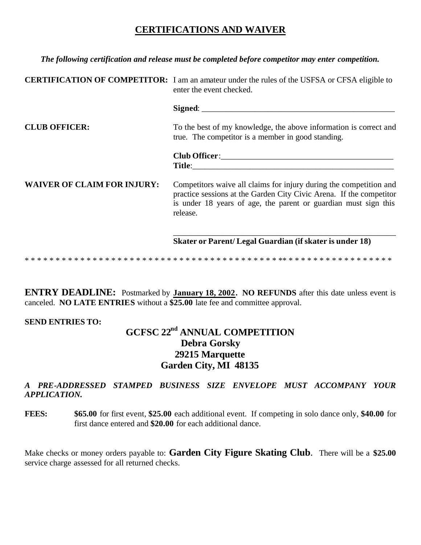# **CERTIFICATIONS AND WAIVER**

| The following certification and release must be completed before competitor may enter competition. |                                                                                                                                                                                                                          |  |
|----------------------------------------------------------------------------------------------------|--------------------------------------------------------------------------------------------------------------------------------------------------------------------------------------------------------------------------|--|
|                                                                                                    | <b>CERTIFICATION OF COMPETITOR:</b> I am an amateur under the rules of the USFSA or CFSA eligible to<br>enter the event checked.                                                                                         |  |
|                                                                                                    |                                                                                                                                                                                                                          |  |
| <b>CLUB OFFICER:</b>                                                                               | To the best of my knowledge, the above information is correct and<br>true. The competitor is a member in good standing.                                                                                                  |  |
|                                                                                                    |                                                                                                                                                                                                                          |  |
| <b>WAIVER OF CLAIM FOR INJURY:</b>                                                                 | Competitors waive all claims for injury during the competition and<br>practice sessions at the Garden City Civic Arena. If the competitor<br>is under 18 years of age, the parent or guardian must sign this<br>release. |  |
|                                                                                                    | Skater or Parent/Legal Guardian (if skater is under 18)                                                                                                                                                                  |  |
|                                                                                                    |                                                                                                                                                                                                                          |  |

**ENTRY DEADLINE:** Postmarked by **January 18, 2002. NO REFUNDS** after this date unless event is canceled. **NO LATE ENTRIES** without a **\$25.00** late fee and committee approval.

# **SEND ENTRIES TO:**

# **GCFSC 22nd ANNUAL COMPETITION Debra Gorsky 29215 Marquette Garden City, MI 48135**

# *A PRE-ADDRESSED STAMPED BUSINESS SIZE ENVELOPE MUST ACCOMPANY YOUR APPLICATION.*

**FEES: \$65.00** for first event, **\$25.00** each additional event. If competing in solo dance only, **\$40.00** for first dance entered and **\$20.00** for each additional dance.

Make checks or money orders payable to: **Garden City Figure Skating Club**. There will be a **\$25.00** service charge assessed for all returned checks.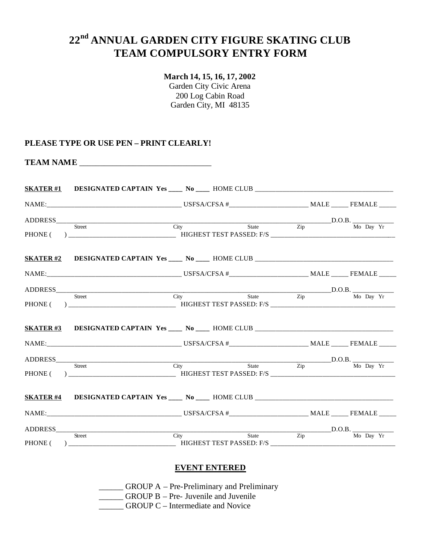# **22nd ANNUAL GARDEN CITY FIGURE SKATING CLUB TEAM COMPULSORY ENTRY FORM**

# **March 14, 15, 16, 17, 2002**

Garden City Civic Arena 200 Log Cabin Road Garden City, MI 48135

# **PLEASE TYPE OR USE PEN – PRINT CLEARLY!**

**TEAM NAME** \_\_\_\_\_\_\_\_\_\_\_\_\_\_\_\_\_\_\_\_\_\_\_\_\_\_\_\_\_\_\_\_

| SKATER#1 DESIGNATED CAPTAIN Yes ____ No ____ HOME CLUB __________________________ |                          |                                                                                          |  |
|-----------------------------------------------------------------------------------|--------------------------|------------------------------------------------------------------------------------------|--|
|                                                                                   |                          |                                                                                          |  |
|                                                                                   | $\overline{\text{City}}$ | $\underbrace{\qquad \qquad \text{State} \qquad \qquad \text{D.O.B.}}_{\text{Mo Day Yr}}$ |  |
|                                                                                   |                          |                                                                                          |  |
|                                                                                   |                          |                                                                                          |  |
|                                                                                   |                          |                                                                                          |  |
| ADDRESS Burget City State D.O.B. Mo Day Yr                                        |                          |                                                                                          |  |
|                                                                                   |                          |                                                                                          |  |
| SKATER#3 DESIGNATED CAPTAIN Yes ____ No ____ HOME CLUB __________________________ |                          |                                                                                          |  |
|                                                                                   |                          |                                                                                          |  |
|                                                                                   |                          |                                                                                          |  |
| ADDRESS Street City State Zip D.O.B. Mo Day Yr                                    |                          |                                                                                          |  |
| SKATER#4 DESIGNATED CAPTAIN Yes ____ No ____ HOME CLUB __________________________ |                          |                                                                                          |  |
|                                                                                   |                          |                                                                                          |  |
| ADDRESS Street City State D.O.B. D.O.B. No Day Yr                                 |                          |                                                                                          |  |
|                                                                                   |                          |                                                                                          |  |

### **EVENT ENTERED**

\_\_\_\_\_\_ GROUP A – Pre-Preliminary and Preliminary

\_\_\_\_\_\_ GROUP B – Pre- Juvenile and Juvenile

**COUP C** – Intermediate and Novice